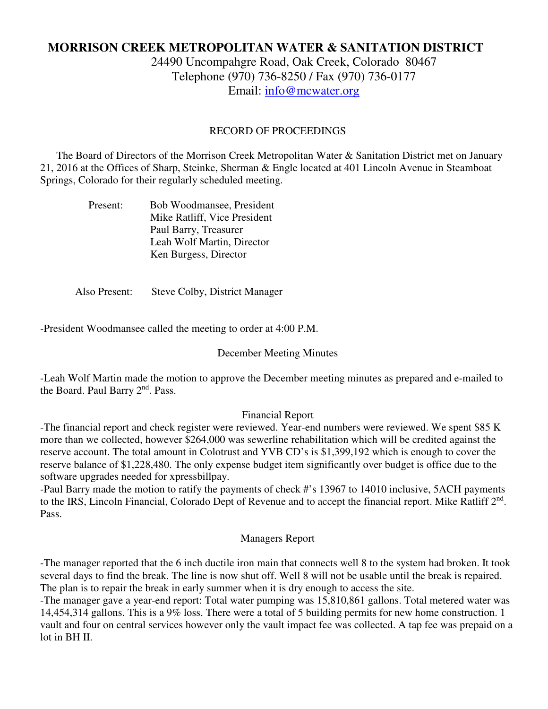# **MORRISON CREEK METROPOLITAN WATER & SANITATION DISTRICT**

24490 Uncompahgre Road, Oak Creek, Colorado 80467 Telephone (970) 736-8250 / Fax (970) 736-0177 Email: info@mcwater.org

## RECORD OF PROCEEDINGS

 The Board of Directors of the Morrison Creek Metropolitan Water & Sanitation District met on January 21, 2016 at the Offices of Sharp, Steinke, Sherman & Engle located at 401 Lincoln Avenue in Steamboat Springs, Colorado for their regularly scheduled meeting.

| Present: | Bob Woodmansee, President    |
|----------|------------------------------|
|          | Mike Ratliff, Vice President |
|          | Paul Barry, Treasurer        |
|          | Leah Wolf Martin, Director   |
|          | Ken Burgess, Director        |

Also Present: Steve Colby, District Manager

-President Woodmansee called the meeting to order at 4:00 P.M.

## December Meeting Minutes

-Leah Wolf Martin made the motion to approve the December meeting minutes as prepared and e-mailed to the Board. Paul Barry 2<sup>nd</sup>. Pass.

#### Financial Report

-The financial report and check register were reviewed. Year-end numbers were reviewed. We spent \$85 K more than we collected, however \$264,000 was sewerline rehabilitation which will be credited against the reserve account. The total amount in Colotrust and YVB CD's is \$1,399,192 which is enough to cover the reserve balance of \$1,228,480. The only expense budget item significantly over budget is office due to the software upgrades needed for xpressbillpay.

-Paul Barry made the motion to ratify the payments of check #'s 13967 to 14010 inclusive, 5ACH payments to the IRS, Lincoln Financial, Colorado Dept of Revenue and to accept the financial report. Mike Ratliff 2<sup>nd</sup>. Pass.

#### Managers Report

-The manager reported that the 6 inch ductile iron main that connects well 8 to the system had broken. It took several days to find the break. The line is now shut off. Well 8 will not be usable until the break is repaired. The plan is to repair the break in early summer when it is dry enough to access the site.

-The manager gave a year-end report: Total water pumping was 15,810,861 gallons. Total metered water was 14,454,314 gallons. This is a 9% loss. There were a total of 5 building permits for new home construction. 1 vault and four on central services however only the vault impact fee was collected. A tap fee was prepaid on a lot in BH II.